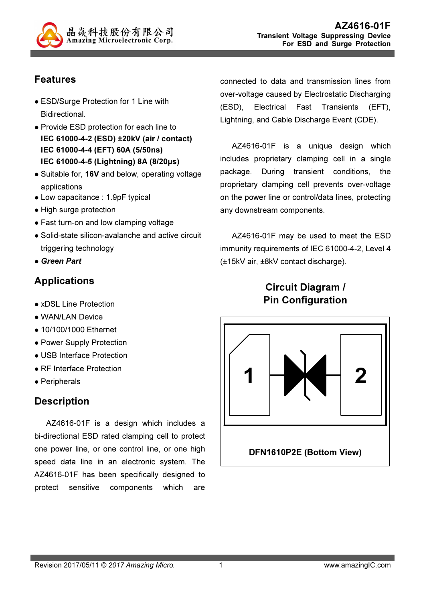

# Features

- ESD/Surge Protection for 1 Line with Bidirectional.
- Provide ESD protection for each line to IEC 61000-4-2 (ESD) ±20kV (air / contact) IEC 61000-4-4 (EFT) 60A (5/50ns) IEC 61000-4-5 (Lightning) 8A (8/20µs)
- Suitable for, 16V and below, operating voltage applications
- Low capacitance : 1.9pF typical
- High surge protection
- Fast turn-on and low clamping voltage
- Solid-state silicon-avalanche and active circuit triggering technology
- Green Part

# Applications

- xDSL Line Protection
- WAN/LAN Device
- 10/100/1000 Ethernet
- Power Supply Protection
- USB Interface Protection
- RF Interface Protection
- Peripherals

## **Description**

AZ4616-01F is a design which includes a bi-directional ESD rated clamping cell to protect one power line, or one control line, or one high speed data line in an electronic system. The AZ4616-01F has been specifically designed to protect sensitive components which are

connected to data and transmission lines from over-voltage caused by Electrostatic Discharging (ESD), Electrical Fast Transients (EFT), Lightning, and Cable Discharge Event (CDE).

AZ4616-01F is a unique design which includes proprietary clamping cell in a single package. During transient conditions, the proprietary clamping cell prevents over-voltage on the power line or control/data lines, protecting any downstream components.

AZ4616-01F may be used to meet the ESD immunity requirements of IEC 61000-4-2, Level 4 (±15kV air, ±8kV contact discharge).

# Circuit Diagram / Pin Configuration

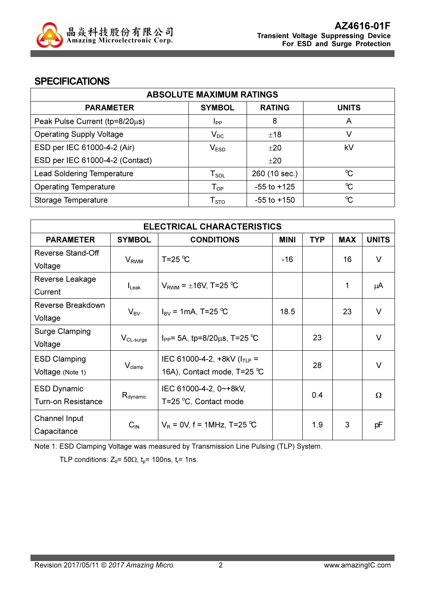

#### **SPECIFICATIONS**

| <b>ABSOLUTE MAXIMUM RATINGS</b>   |                             |                 |                      |
|-----------------------------------|-----------------------------|-----------------|----------------------|
| <b>PARAMETER</b>                  | <b>SYMBOL</b>               | <b>RATING</b>   | <b>UNITS</b>         |
| Peak Pulse Current (tp=8/20µs)    | Ipp                         | 8               | A                    |
| <b>Operating Supply Voltage</b>   | $V_{DC}$                    | ±18             | V                    |
| ESD per IEC 61000-4-2 (Air)       | V <sub>ESD</sub>            | ±20             | kV                   |
| ESD per IEC 61000-4-2 (Contact)   |                             | ±20             |                      |
| <b>Lead Soldering Temperature</b> | $\mathsf{T}_{\mathsf{SOL}}$ | 260 (10 sec.)   | $\mathrm{C}$         |
| <b>Operating Temperature</b>      | $\mathsf{T}_{\mathsf{OP}}$  | $-55$ to $+125$ | $\mathrm{C}^{\circ}$ |
| Storage Temperature               | ${\sf T}_{\text{STO}}$      | $-55$ to $+150$ | $\mathrm{C}^{\circ}$ |

| <b>ELECTRICAL CHARACTERISTICS</b> |                         |                                         |             |            |            |              |
|-----------------------------------|-------------------------|-----------------------------------------|-------------|------------|------------|--------------|
| <b>PARAMETER</b>                  | <b>SYMBOL</b>           | <b>CONDITIONS</b>                       | <b>MINI</b> | <b>TYP</b> | <b>MAX</b> | <b>UNITS</b> |
| Reverse Stand-Off                 |                         | T=25 $^{\circ}$ C                       |             |            | 16         | $\vee$       |
| Voltage                           | <b>V</b> <sub>RWM</sub> |                                         | -16         |            |            |              |
| Reverse Leakage                   |                         |                                         |             |            | 1          |              |
| Current                           | $I_{\mathsf{Leak}}$     | $V_{\text{RWM}}$ = $\pm$ 16V, T=25 °C   |             |            |            | μA           |
| Reverse Breakdown                 |                         |                                         | 18.5        |            | 23         | V            |
| Voltage                           | $V_{BV}$                | $I_{\text{BV}} = 1 \text{mA}$ , T=25 °C |             |            |            |              |
| <b>Surge Clamping</b>             |                         |                                         |             | 23         |            | $\vee$       |
| Voltage                           | $V_{CL-surge}$          | $I_{PP}$ = 5A, tp=8/20 $\mu$ s, T=25 °C |             |            |            |              |
| <b>ESD Clamping</b>               |                         | IEC 61000-4-2, $+8kV$ ( $I_{TLP}$ =     |             |            |            | $\vee$       |
| Voltage (Note 1)                  | $V_{\text{clamp}}$      | 16A), Contact mode, T=25 °C             |             | 28         |            |              |
| <b>ESD Dynamic</b>                |                         | IEC 61000-4-2, 0~+8kV,                  |             |            |            |              |
| <b>Turn-on Resistance</b>         | $R_{\text{dynamic}}$    | T=25 °C, Contact mode                   | 0.4         |            |            | Ω            |
| Channel Input                     |                         | $V_R = 0V$ , f = 1MHz, T=25 °C          |             |            |            |              |
| Capacitance                       | $C_{IN}$                |                                         |             | 1.9        | 3          | pF           |

Note 1: ESD Clamping Voltage was measured by Transmission Line Pulsing (TLP) System.

TLP conditions:  $Z_0$ = 50 $\Omega$ ,  $t_0$ = 100ns,  $t_r$ = 1ns.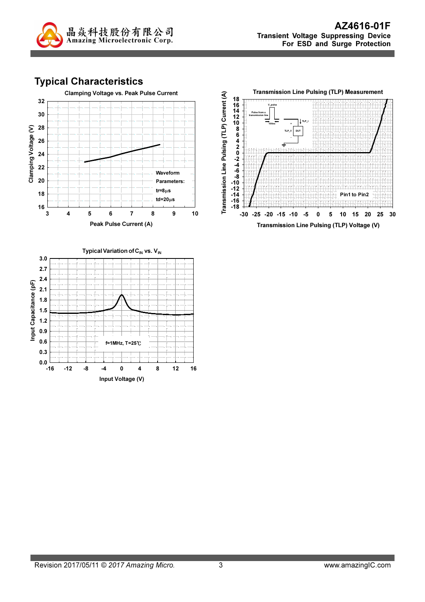

# Typical Characteristics





#### Typical Variation of  $C_{\text{IN}}$  vs. V<sub>IN</sub> 3.0 2.7 2.4 Input Capacitance (pF) Input Capacitance (pF) 2.1 1.8 1.5 1.2 0.9 0.6 f=1MHz, T=25℃0.3 ∟ 0.0<br>16--16 -12 -8 -4 0 4 8 12 16 Input Voltage (V)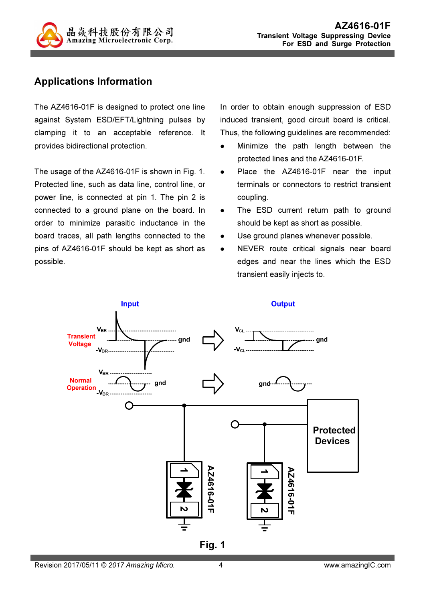

## Applications Information

The AZ4616-01F is designed to protect one line against System ESD/EFT/Lightning pulses by clamping it to an acceptable reference. It provides bidirectional protection.

The usage of the AZ4616-01F is shown in Fig. 1. Protected line, such as data line, control line, or power line, is connected at pin 1. The pin 2 is connected to a ground plane on the board. In order to minimize parasitic inductance in the board traces, all path lengths connected to the pins of AZ4616-01F should be kept as short as possible.

In order to obtain enough suppression of ESD induced transient, good circuit board is critical. Thus, the following guidelines are recommended:

- Minimize the path length between the protected lines and the AZ4616-01F.
- Place the AZ4616-01F near the input terminals or connectors to restrict transient coupling.
- The ESD current return path to ground should be kept as short as possible.
- Use ground planes whenever possible.
- NEVER route critical signals near board edges and near the lines which the ESD transient easily injects to.



Fig. 1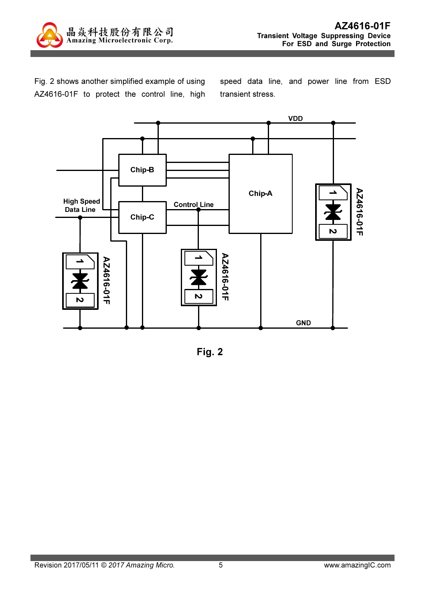

Fig. 2 shows another simplified example of using AZ4616-01F to protect the control line, high speed data line, and power line from ESD transient stress.



Fig. 2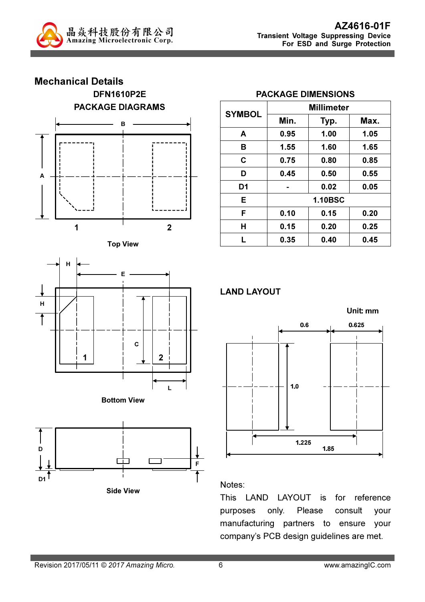











|                | <b>Millimeter</b> |                |      |  |  |
|----------------|-------------------|----------------|------|--|--|
| <b>SYMBOL</b>  | Min.              | Typ.           | Max. |  |  |
| A              | 0.95              | 1.00           | 1.05 |  |  |
| В              | 1.55              | 1.60           | 1.65 |  |  |
| C              | 0.75              | 0.80           | 0.85 |  |  |
| D              | 0.45              | 0.50           | 0.55 |  |  |
| D <sub>1</sub> |                   | 0.02           | 0.05 |  |  |
| Е              |                   | <b>1.10BSC</b> |      |  |  |
| F              | 0.10              | 0.15           | 0.20 |  |  |
| Н              | 0.15              | 0.20           | 0.25 |  |  |
|                | 0.35              | 0.40           | 0.45 |  |  |

#### PACKAGE DIMENSIONS





#### Notes:

This LAND LAYOUT is for reference purposes only. Please consult your manufacturing partners to ensure your company's PCB design guidelines are met.